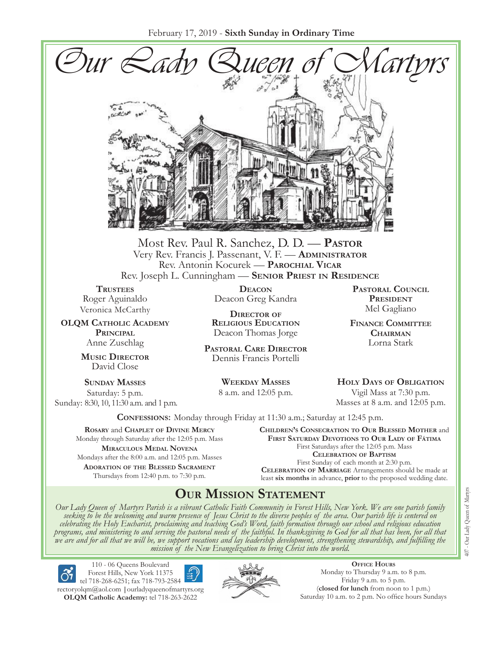

Most Rev. Paul R. Sanchez, D. D. — **Pastor** Very Rev. Francis J. Passenant, V. F. — **Administrator** Rev. Antonin Kocurek — **Parochial Vicar** Rev. Joseph L. Cunningham — **Senior Priest in Residence**

**TRUSTEES** Roger Aguinaldo Veronica McCarthy

**OLQM Catholic Academy Principal** Anne Zuschlag

> **Music Director** David Close

**Sunday Masses** Saturday: 5 p.m. Sunday: 8:30, 10, 11:30 a.m. and 1 p.m.

**Deacon** Deacon Greg Kandra

**Director of Religious Education** Deacon Thomas Jorge

**Pastoral Care Director** Dennis Francis Portelli

> **Weekday Masses** 8 a.m. and 12:05 p.m.

**Pastoral Council** PRESIDENT Mel Gagliano

**Finance Committee Chairman** Lorna Stark

**Holy Days of Obligation** Vigil Mass at 7:30 p.m. Masses at 8 a.m. and 12:05 p.m.

**Confessions:** Monday through Friday at 11:30 a.m.; Saturday at 12:45 p.m.

**Rosary** and **Chaplet of Divine Mercy** Monday through Saturday after the 12:05 p.m. Mass **Miraculous Medal Novena** Mondays after the 8:00 a.m. and 12:05 p.m. Masses **Adoration of the Blessed Sacrament** Thursdays from 12:40 p.m. to 7:30 p.m.

**Children's Consecration to Our Blessed Mother** and **First Saturday Devotions to Our Lady of Fátima** First Saturdays after the 12:05 p.m. Mass **Celebration of Baptism** First Sunday of each month at 2:30 p.m. **Celebration of Marriage** Arrangements should be made at least **six months** in advance, **prior** to the proposed wedding date.

# **Our Mission Statement**

Our Lady Queen of Martyrs Parish is a vibrant Catholic Faith Community in Forest Hills, New York. We are one parish family<br>seeking to be the welcoming and warm presence of Jesus Christ to the diverse peoples of the area. O *celebrating the Holy Eucharist, proclaiming and teaching God's Word, faith formation through our school and religious education*  programs, and ministering to and serving the pastoral needs of the faithful. In thanksgiving to God for all that has been, for all that<br>we are and for all that we will be, we support vocations and lay leadership developmen



110 - 06 Queens Boulevard Forest Hills, New York 11375 tel 718-268-6251; fax 718-793-2584

[rectoryolqm@aol.com](mailto:rectoryolqm@aol.com) **|**[ourladyqueenofmartyrs.org](www.ourladyqueenofmartyrs.org) **OLQM Catholic Academy:** tel 718-263-2622



**Office Hours** Monday to Thursday 9 a.m. to 8 p.m. Friday 9 a.m. to 5 p.m. (**closed for lunch** from noon to 1 p.m.) Saturday 10 a.m. to 2 p.m. No office hours Sundays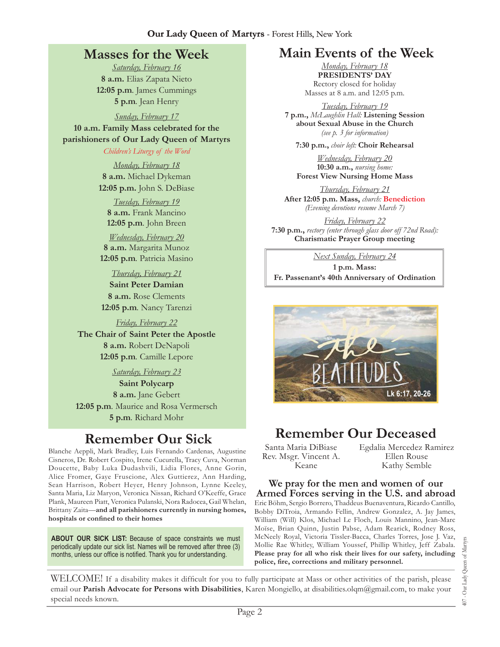# **Masses for the Week**

*Saturday, February 16* **8 a.m.** Elias Zapata Nieto **12:05 p.m***.* James Cummings **5 p.m***.* Jean Henry

*Sunday, February 17* **10 a.m. Family Mass celebrated for the parishioners of Our Lady Queen of Martyrs**

#### *Children's Liturgy of the Word*

*Monday, February 18* **8 a.m.** Michael Dykeman **12:05 p.m.** John S. DeBiase

*Tuesday, February 19* **8 a.m.** Frank Mancino **12:05 p.m***.* John Breen

*Wednesday, February 20* **8 a.m.** Margarita Munoz **12:05 p.m***.* Patricia Masino

#### *Thursday, February 21*

**Saint Peter Damian 8 a.m.** Rose Clements **12:05 p.m***.* Nancy Tarenzi

#### *Friday, February 22*

**The Chair of Saint Peter the Apostle 8 a.m.** Robert DeNapoli **12:05 p.m***.* Camille Lepore

*Saturday, February 23*

**Saint Polycarp 8 a.m.** Jane Gebert **12:05 p.m***.* Maurice and Rosa Vermersch **5 p.m***.* Richard Mohr

Blanche Aeppli, Mark Bradley, Luis Fernando Cardenas, Augustine Cisneros, Dr. Robert Cospito, Irene Cucurella, Tracy Cuva, Norman Doucette, Baby Luka Dudashvili, Lidia Flores, Anne Gorin, Alice Fromer, Gaye Fruscione, Alex Guttierez, Ann Harding, Sean Harrison, Robert Heyer, Henry Johnson, Lynne Keeley, Santa Maria, Liz Maryon, Veronica Nissan, Richard O'Keeffe, Grace Plank, Maureen Piatt, Veronica Pulanski, Nora Radocea, Gail Whelan, Brittany Zaita—**and all parishioners currently in nursing homes, hospitals or confined to their homes**

**About Our Sick List:** Because of space constraints we must periodically update our sick list. Names will be removed after three (3) months, unless our office is notified. Thank you for understanding.

### **Main Events of the Week**

*Monday, February 18* **Presidents' Day**  Rectory closed for holiday Masses at 8 a.m. and 12:05 p.m.

*Tuesday, February 19* **7 p.m.,** *McLaughlin Hall:* **Listening Session about Sexual Abuse in the Church** *(see p. 3 for information)*

**7:30 p.m.,** *choir loft:* **Choir Rehearsal**

*Wednesday, February 20* **10:30 a.m.,** *nursing home:*  **Forest View Nursing Home Mass** 

*Thursday, February 21* **After 12:05 p.m. Mass,** *church:* **Benediction** *(Evening devotions resume March 7)*

*Friday, February 22* **7:30 p.m.,** *rectory (enter through glass door off 72nd Road):*  **Charismatic Prayer Group meeting**

*Next Sunday, February 24* **1 p.m. Mass: Fr. Passenant's 40th Anniversary of Ordination**



# **Remember Our Sick Remember Our Deceased**

Santa Maria DiBiase Rev. Msgr. Vincent A. Keane

Egdalia Mercedez Ramirez Ellen Rouse Kathy Semble

### **We pray for the men and women of our Armed Forces serving in the U.S. and abroad**

Eric Böhm, Sergio Borrero, Thaddeus Buenaventura, Ricardo Cantillo, Bobby DiTroia, Armando Fellin, Andrew Gonzalez, A. Jay James, William (Will) Klos, Michael Le Floch, Louis Mannino, Jean-Marc Moïse, Brian Quinn, Justin Pabse, Adam Rearick, Rodney Ross, McNeely Royal, Victoria Tissler-Bacca, Charles Torres, Jose J. Vaz, Mollie Rae Whitley, William Youssef, Phillip Whitley, Jeff Zabala. **Please pray for all who risk their lives for our safety, including police, fire, corrections and military personnel.**

Our Lady Queen of Martyrs 407 - Our Lady Queen of Martyrs 407.

WELCOME! If a disability makes it difficult for you to fully participate at Mass or other activities of the parish, please email our **Parish Advocate for Persons with Disabilities**, Karen Mongiello, at [disabilities.olqm@gmail.com,](mailto:disabilities.olqm@gmail.com) to make your special needs known.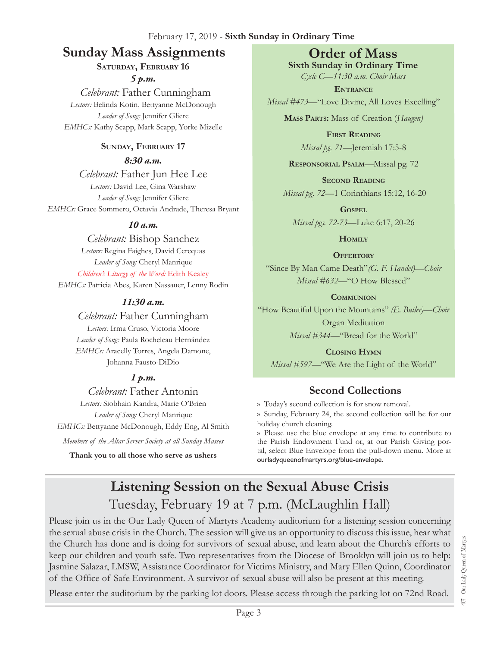# **Sunday Mass Assignments Order of Mass**

### **Saturday, February 16**

*5 p.m.* 

 *Celebrant:* Father Cunningham *Lectors:* Belinda Kotin, Bettyanne McDonough *Leader of Song:* Jennifer Gliere *EMHCs:* Kathy Scapp, Mark Scapp, Yorke Mizelle

### **Sunday, February 17**

*8:30 a.m.* 

*Celebrant:* Father Jun Hee Lee *Lectors:* David Lee, Gina Warshaw *Leader of Song:* Jennifer Gliere *EMHCs:* Grace Sommero, Octavia Andrade, Theresa Bryant

### *10 a.m.*

*Celebrant:* Bishop Sanchez *Lectors:* Regina Faighes, David Cerequas *Leader of Song:* Cheryl Manrique *Children's Liturgy of the Word:* Edith Kealey *EMHCs:* Patricia Abes, Karen Nassauer, Lenny Rodin

### *11:30 a.m.*

# *Celebrant:* Father Cunningham

*Lectors:* Irma Cruso, Victoria Moore *Leader of Song:* Paula Rocheleau Hernández *EMHCs:* Aracelly Torres, Angela Damone, Johanna Fausto-DiDio

# *1 p.m.*

*Celebrant:* Father Antonin *Lectors:* Siobhain Kandra, Marie O'Brien *Leader of Song:* Cheryl Manrique *EMHCs:* Bettyanne McDonough, Eddy Eng, Al Smith

*Members of the Altar Server Society at all Sunday Masses*

**Thank you to all those who serve as ushers**

**Sixth Sunday in Ordinary Time** *Cycle C—11:30 a.m. Choir Mass*

**Entrance** *Missal #473—*"Love Divine, All Loves Excelling"

**Mass Parts:** Mass of Creation (*Haugen)*

**First Reading** *Missal pg. 71—*Jeremiah 17:5-8

**Responsorial Psalm**—Missal pg. 72

**Second Reading** *Missal pg. 72—*1 Corinthians 15:12, 16-20

**Gospel** *Missal pgs. 72-73—*Luke 6:17, 20-26

**Homily**

**OFFERTORY** 

"Since By Man Came Death"*(G. F. Handel)—Choir Missal #632—*"O How Blessed"

**Communion** "How Beautiful Upon the Mountains" *(E. Butler)—Choir* Organ Meditation

*Missal #344—*"Bread for the World"

**Closing Hymn** *Missal #597—*"We Are the Light of the World"

# **Second Collections**

›› Today's second collection is for snow removal.

›› Sunday, February 24, the second collection will be for our holiday church cleaning.

›› Please use the blue envelope at any time to contribute to the Parish Endowment Fund or, at our Parish Giving portal, select Blue Envelope from the pull-down menu. More at ourladyqueenofmartyrs.org/blue-envelope.

# **Listening Session on the Sexual Abuse Crisis**  Tuesday, February 19 at 7 p.m. (McLaughlin Hall)

Please join us in the Our Lady Queen of Martyrs Academy auditorium for a listening session concerning the sexual abuse crisis in the Church. The session will give us an opportunity to discuss this issue, hear what the Church has done and is doing for survivors of sexual abuse, and learn about the Church's efforts to keep our children and youth safe. Two representatives from the Diocese of Brooklyn will join us to help: Jasmine Salazar, LMSW, Assistance Coordinator for Victims Ministry, and Mary Ellen Quinn, Coordinator of the Office of Safe Environment. A survivor of sexual abuse will also be present at this meeting.

Please enter the auditorium by the parking lot doors. Please access through the parking lot on 72nd Road.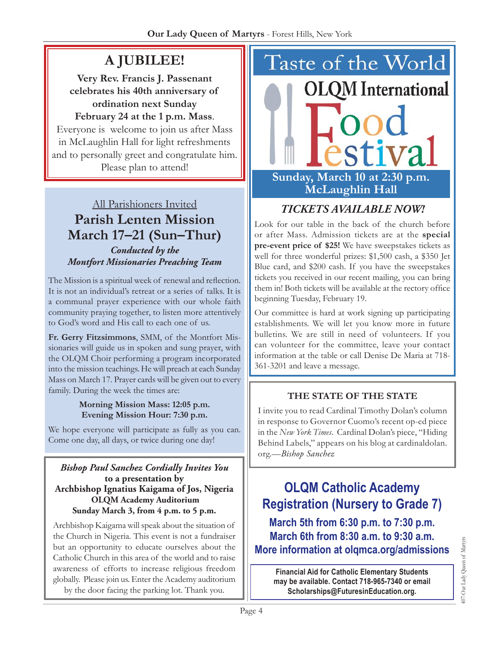# **A Jubilee!**

**Very Rev. Francis J. Passenant celebrates his 40th anniversary of ordination next Sunday February 24 at the 1 p.m. Mass**. Everyone is welcome to join us after Mass

in McLaughlin Hall for light refreshments and to personally greet and congratulate him. Please plan to attend!

All Parishioners Invited **Parish Lenten Mission March 17–21 (Sun–Thur)** *Conducted by the Montfort Missionaries Preaching Team*

The Mission is a spiritual week of renewal and reflection. It is not an individual's retreat or a series of talks. It is a communal prayer experience with our whole faith community praying together, to listen more attentively to God's word and His call to each one of us.

**Fr. Gerry Fitzsimmons**, SMM, of the Montfort Missionaries will guide us in spoken and sung prayer, with the OLQM Choir performing a program incorporated into the mission teachings. He will preach at each Sunday Mass on March 17. Prayer cards will be given out to every family. During the week the times are:

#### **Morning Mission Mass: 12:05 p.m. Evening Mission Hour: 7:30 p.m.**

We hope everyone will participate as fully as you can. Come one day, all days, or twice during one day!

#### *Bishop Paul Sanchez Cordially Invites You* **to a presentation by Archbishop Ignatius Kaigama of Jos, Nigeria OLQM Academy Auditorium Sunday March 3, from 4 p.m. to 5 p.m.**

Archbishop Kaigama will speak about the situation of the Church in Nigeria. This event is not a fundraiser but an opportunity to educate ourselves about the Catholic Church in this area of the world and to raise awareness of efforts to increase religious freedom globally. Please join us. Enter the Academy auditorium

by the door facing the parking lot. Thank you.



# *Tickets AvailabLe Now!*

Look for our table in the back of the church before or after Mass. Admission tickets are at the **special pre-event price of \$25!** We have sweepstakes tickets as well for three wonderful prizes: \$1,500 cash, a \$350 Jet Blue card, and \$200 cash. If you have the sweepstakes tickets you received in our recent mailing, you can bring them in! Both tickets will be available at the rectory office beginning Tuesday, February 19.

Our committee is hard at work signing up participating establishments. We will let you know more in future bulletins. We are still in need of volunteers. If you can volunteer for the committee, leave your contact information at the table or call Denise De Maria at 718- 361-3201 and leave a message.

# **The State of the State**

I invite you to read Cardinal Timothy Dolan's column in response to Governor Cuomo's recent op-ed piece in the *New York Times*. Cardinal Dolan's piece, "Hiding Behind Labels," appears on his blog at cardinaldolan. org.—*Bishop Sanchez*

# **OLQM Catholic Academy Registration (Nursery to Grade 7)**

**March 5th from 6:30 p.m. to 7:30 p.m. March 6th from 8:30 a.m. to 9:30 a.m. More information at [olqmca.org/admissions](https://olqmca.org/admissions/)**

**Financial Aid for Catholic Elementary Students may be available. Contact 718-965-7340 or email [Scholarships@FuturesinEducation.org.](mailto:Scholarships@FuturesinEducation.org)**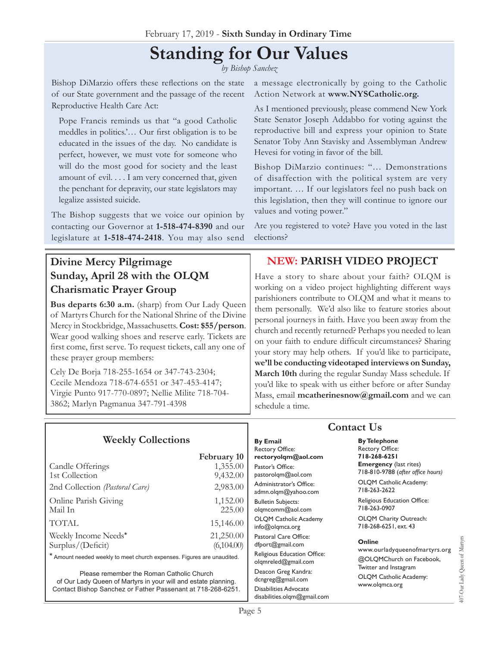# **Standing for Our Values**

*by Bishop Sanchez*

Bishop DiMarzio offers these reflections on the state of our State government and the passage of the recent Reproductive Health Care Act:

Pope Francis reminds us that "a good Catholic meddles in politics.'… Our first obligation is to be educated in the issues of the day. No candidate is perfect, however, we must vote for someone who will do the most good for society and the least amount of evil. . . . I am very concerned that, given the penchant for depravity, our state legislators may legalize assisted suicide.

The Bishop suggests that we voice our opinion by contacting our Governor at **1-518-474-8390** and our legislature at **1-518-474-2418**. You may also send

**Divine Mercy Pilgrimage Sunday, April 28 with the OLQM Charismatic Prayer Group** 

**Bus departs 6:30 a.m.** (sharp) from Our Lady Queen of Martyrs Church for the National Shrine of the Divine Mercy in Stockbridge, Massachusetts. **Cost: \$55/person**. Wear good walking shoes and reserve early. Tickets are first come, first serve. To request tickets, call any one of these prayer group members:

Cely De Borja 718-255-1654 or 347-743-2304; Cecile Mendoza 718-674-6551 or 347-453-4147; Virgie Punto 917-770-0897; Nellie Milite 718-704- 3862; Marlyn Pagmanua 347-791-4398

a message electronically by going to the Catholic Action Network at **[www.NYSCatholic.org.](www.NYSCatholic.org)**

As I mentioned previously, please commend New York State Senator Joseph Addabbo for voting against the reproductive bill and express your opinion to State Senator Toby Ann Stavisky and Assemblyman Andrew Hevesi for voting in favor of the bill.

Bishop DiMarzio continues: "… Demonstrations of disaffection with the political system are very important. … If our legislators feel no push back on this legislation, then they will continue to ignore our values and voting power."

Are you registered to vote? Have you voted in the last elections?

### **NEW: Parish Video Project**

Have a story to share about your faith? OLQM is working on a video project highlighting different ways parishioners contribute to OLQM and what it means to them personally. We'd also like to feature stories about personal journeys in faith. Have you been away from the church and recently returned? Perhaps you needed to lean on your faith to endure difficult circumstances? Sharing your story may help others. If you'd like to participate, **we'll be conducting videotaped interviews on Sunday, March 10th** during the regular Sunday Mass schedule. If you'd like to speak with us either before or after Sunday Mass, email **mcatherinesnow@gmail.com** and we can schedule a time.

| <b>Weekly Collections</b>                                              |                    | <b>By Email</b><br><b>Rectory Office:</b>          |
|------------------------------------------------------------------------|--------------------|----------------------------------------------------|
|                                                                        | <b>February 10</b> | rectoryolgm@aol.com                                |
| Candle Offerings                                                       | 1,355.00           | Pastor's Office:                                   |
| 1st Collection                                                         | 9,432.00           | pastorolgm@aol.com                                 |
| 2nd Collection (Pastoral Care)                                         | 2,983.00           | Administrator's Office:<br>admn.olgm@yahoo.com     |
| Online Parish Giving                                                   | 1,152.00           | <b>Bulletin Subjects:</b>                          |
| Mail In                                                                | 225.00             | olgmcomm@aol.com                                   |
| <b>TOTAL</b>                                                           | 15,146.00          | <b>OLOM Catholic Academy</b><br>info@olqmca.org    |
| Weekly Income Needs*                                                   | 21,250.00          | Pastoral Care Office:                              |
| Surplus/(Deficit)                                                      | (6,104.00)         | dfport@gmail.com                                   |
| * Amount needed weekly to meet church expenses. Figures are unaudited. |                    | Religious Education Office:<br>olgmreled@gmail.com |
| Please remember the Roman Catholic Church                              |                    | Deacon Greg Kandra:                                |

Please remember the Roman Catholic Church of Our Lady Queen of Martyrs in your will and estate planning. Contact Bishop Sanchez or Father Passenant at 718-268-6251.

### **Contact Us**

**By Telephone** Rectory Office: **718-268-6251 Emergency** (last rites) 718-810-9788 (*after office hours)* OLQM Catholic Academy:

718-263-2622 Religious Education Office: 718-263-0907

OLQM Charity Outreach: 718-268-6251, ext. 43

#### **Online**

www.ourladyqueenofmartyrs.org @OLQMChurch on Facebook, Twitter and Instagram OLQM Catholic Academy: www.olqmca.org

107-Our Lady Queen of Martyrs 407-Our Lady Queen of Martyrs

dcngreg@gmail.com Disabilities Advocate [disabilities.olqm@gmail.com](mailto:disabilities.olqm@gmail.com)